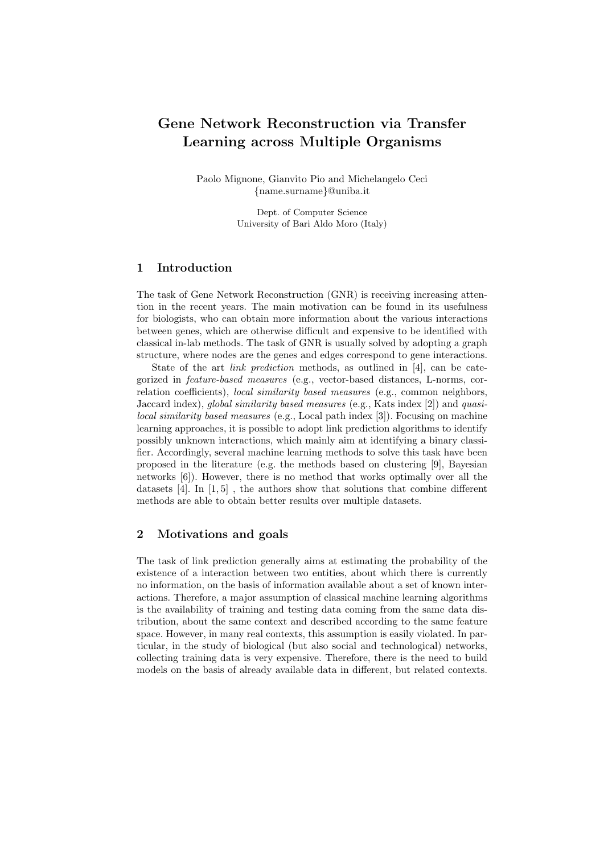# Gene Network Reconstruction via Transfer Learning across Multiple Organisms

Paolo Mignone, Gianvito Pio and Michelangelo Ceci {name.surname}@uniba.it

> Dept. of Computer Science University of Bari Aldo Moro (Italy)

## 1 Introduction

The task of Gene Network Reconstruction (GNR) is receiving increasing attention in the recent years. The main motivation can be found in its usefulness for biologists, who can obtain more information about the various interactions between genes, which are otherwise difficult and expensive to be identified with classical in-lab methods. The task of GNR is usually solved by adopting a graph structure, where nodes are the genes and edges correspond to gene interactions.

State of the art link prediction methods, as outlined in [4], can be categorized in feature-based measures (e.g., vector-based distances, L-norms, correlation coefficients), *local similarity based measures* (e.g., common neighbors, Jaccard index), global similarity based measures (e.g., Kats index [2]) and quasilocal similarity based measures (e.g., Local path index [3]). Focusing on machine learning approaches, it is possible to adopt link prediction algorithms to identify possibly unknown interactions, which mainly aim at identifying a binary classifier. Accordingly, several machine learning methods to solve this task have been proposed in the literature (e.g. the methods based on clustering [9], Bayesian networks [6]). However, there is no method that works optimally over all the datasets  $[4]$ . In  $[1,5]$ , the authors show that solutions that combine different methods are able to obtain better results over multiple datasets.

#### 2 Motivations and goals

The task of link prediction generally aims at estimating the probability of the existence of a interaction between two entities, about which there is currently no information, on the basis of information available about a set of known interactions. Therefore, a major assumption of classical machine learning algorithms is the availability of training and testing data coming from the same data distribution, about the same context and described according to the same feature space. However, in many real contexts, this assumption is easily violated. In particular, in the study of biological (but also social and technological) networks, collecting training data is very expensive. Therefore, there is the need to build models on the basis of already available data in different, but related contexts.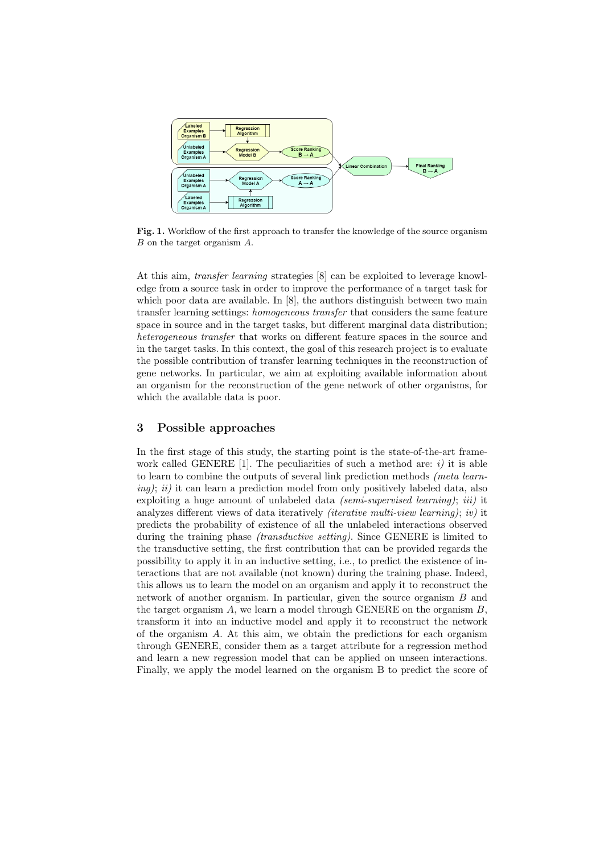

Fig. 1. Workflow of the first approach to transfer the knowledge of the source organism B on the target organism A.

At this aim, transfer learning strategies [8] can be exploited to leverage knowledge from a source task in order to improve the performance of a target task for which poor data are available. In [8], the authors distinguish between two main transfer learning settings: homogeneous transfer that considers the same feature space in source and in the target tasks, but different marginal data distribution; heterogeneous transfer that works on different feature spaces in the source and in the target tasks. In this context, the goal of this research project is to evaluate the possible contribution of transfer learning techniques in the reconstruction of gene networks. In particular, we aim at exploiting available information about an organism for the reconstruction of the gene network of other organisms, for which the available data is poor.

### 3 Possible approaches

In the first stage of this study, the starting point is the state-of-the-art framework called GENERE [1]. The peculiarities of such a method are:  $i$ ) it is able to learn to combine the outputs of several link prediction methods (meta learn $ing$ ; ii) it can learn a prediction model from only positively labeled data, also exploiting a huge amount of unlabeled data *(semi-supervised learning)*; *iii)* it analyzes different views of data iteratively *(iterative multi-view learning)*; *iv)* it predicts the probability of existence of all the unlabeled interactions observed during the training phase *(transductive setting)*. Since GENERE is limited to the transductive setting, the first contribution that can be provided regards the possibility to apply it in an inductive setting, i.e., to predict the existence of interactions that are not available (not known) during the training phase. Indeed, this allows us to learn the model on an organism and apply it to reconstruct the network of another organism. In particular, given the source organism B and the target organism  $A$ , we learn a model through GENERE on the organism  $B$ , transform it into an inductive model and apply it to reconstruct the network of the organism A. At this aim, we obtain the predictions for each organism through GENERE, consider them as a target attribute for a regression method and learn a new regression model that can be applied on unseen interactions. Finally, we apply the model learned on the organism B to predict the score of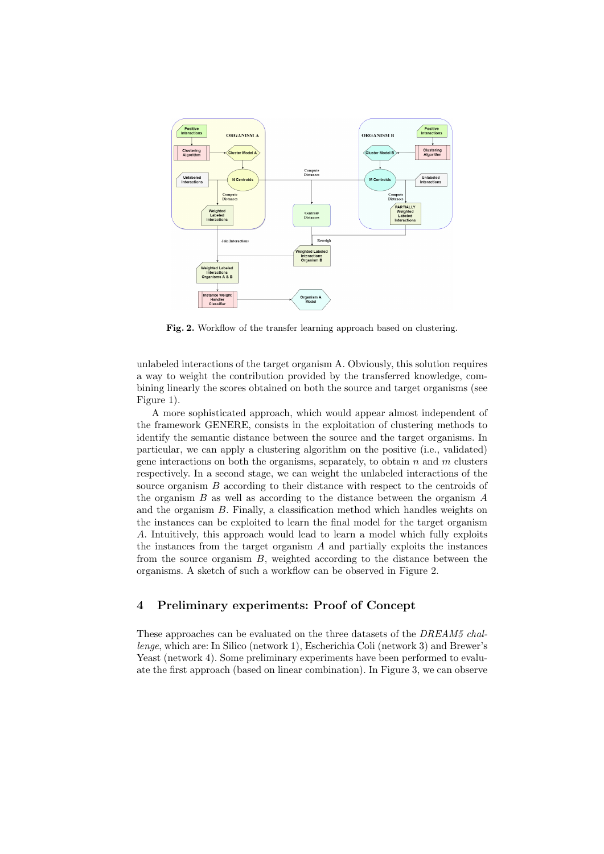

Fig. 2. Workflow of the transfer learning approach based on clustering.

unlabeled interactions of the target organism A. Obviously, this solution requires a way to weight the contribution provided by the transferred knowledge, combining linearly the scores obtained on both the source and target organisms (see Figure 1).

A more sophisticated approach, which would appear almost independent of the framework GENERE, consists in the exploitation of clustering methods to identify the semantic distance between the source and the target organisms. In particular, we can apply a clustering algorithm on the positive (i.e., validated) gene interactions on both the organisms, separately, to obtain n and m clusters respectively. In a second stage, we can weight the unlabeled interactions of the source organism B according to their distance with respect to the centroids of the organism  $B$  as well as according to the distance between the organism  $A$ and the organism B. Finally, a classification method which handles weights on the instances can be exploited to learn the final model for the target organism A. Intuitively, this approach would lead to learn a model which fully exploits the instances from the target organism  $A$  and partially exploits the instances from the source organism  $B$ , weighted according to the distance between the organisms. A sketch of such a workflow can be observed in Figure 2.

### 4 Preliminary experiments: Proof of Concept

These approaches can be evaluated on the three datasets of the DREAM5 challenge, which are: In Silico (network 1), Escherichia Coli (network 3) and Brewer's Yeast (network 4). Some preliminary experiments have been performed to evaluate the first approach (based on linear combination). In Figure 3, we can observe